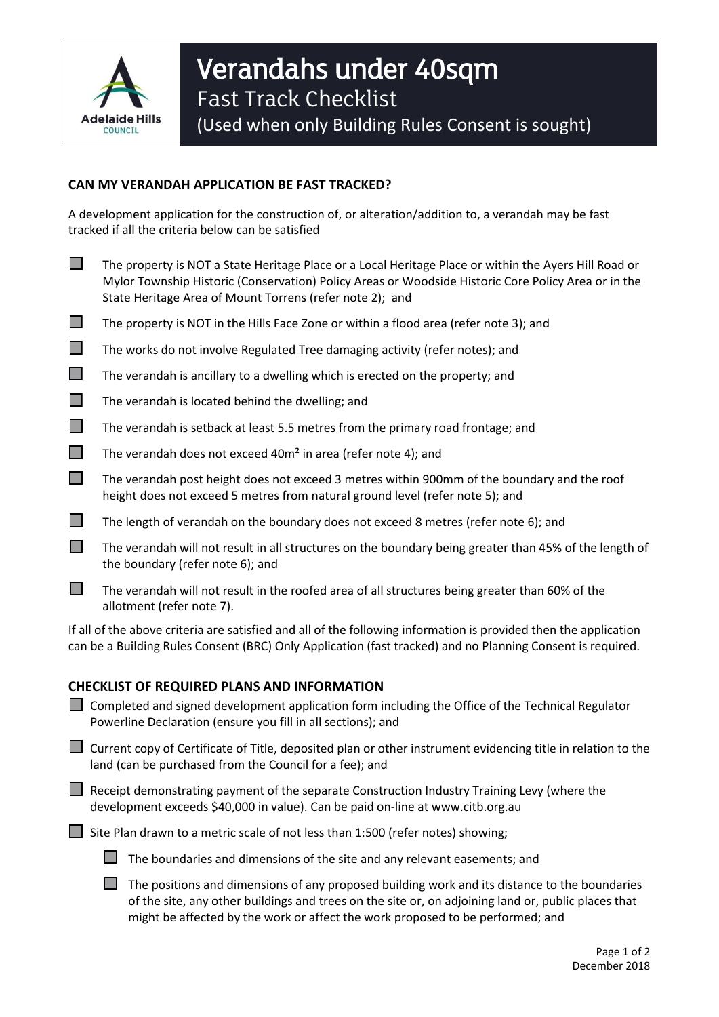

## **CAN MY VERANDAH APPLICATION BE FAST TRACKED?**

A development application for the construction of, or alteration/addition to, a verandah may be fast tracked if all the criteria below can be satisfied

- The property is NOT a State Heritage Place or a Local Heritage Place or within the Ayers Hill Road or Mylor Township Historic (Conservation) Policy Areas or Woodside Historic Core Policy Area or in the State Heritage Area of Mount Torrens (refer note 2); and
- $\Box$  The property is NOT in the Hills Face Zone or within a flood area (refer note 3); and
- The works do not involve Regulated Tree damaging activity (refer notes); and
- $\Box$  The verandah is ancillary to a dwelling which is erected on the property; and
- $\Box$  The verandah is located behind the dwelling; and
- $\Box$  The verandah is setback at least 5.5 metres from the primary road frontage; and
- The verandah does not exceed 40 $m<sup>2</sup>$  in area (refer note 4); and
- $\Box$  The verandah post height does not exceed 3 metres within 900mm of the boundary and the roof height does not exceed 5 metres from natural ground level (refer note 5); and
- $\Box$  The length of verandah on the boundary does not exceed 8 metres (refer note 6); and
- $\Box$  The verandah will not result in all structures on the boundary being greater than 45% of the length of the boundary (refer note 6); and
- $\Box$  The verandah will not result in the roofed area of all structures being greater than 60% of the allotment (refer note 7).

If all of the above criteria are satisfied and all of the following information is provided then the application can be a Building Rules Consent (BRC) Only Application (fast tracked) and no Planning Consent is required.

## **CHECKLIST OF REQUIRED PLANS AND INFORMATION**

|  | $\Box$ Completed and signed development application form including the Office of the Technical Regulator<br>Powerline Declaration (ensure you fill in all sections); and                                        |  |  |
|--|-----------------------------------------------------------------------------------------------------------------------------------------------------------------------------------------------------------------|--|--|
|  | $\Box$ Current copy of Certificate of Title, deposited plan or other instrument evidencing title in relation to the<br>land (can be purchased from the Council for a fee); and                                  |  |  |
|  | $\Box$ Receipt demonstrating payment of the separate Construction Industry Training Levy (where the<br>development exceeds \$40,000 in value). Can be paid on-line at www.citb.org.au                           |  |  |
|  | Site Plan drawn to a metric scale of not less than 1:500 (refer notes) showing;                                                                                                                                 |  |  |
|  | The boundaries and dimensions of the site and any relevant easements; and                                                                                                                                       |  |  |
|  | The positions and dimensions of any proposed building work and its distance to the boundaries<br>a faile a dheasan sa bhaile dhigh ann a chaochas an aile agus an chaoidh de a bhaile ann a bhoisteacha an aile |  |  |

of the site, any other buildings and trees on the site or, on adjoining land or, public places that might be affected by the work or affect the work proposed to be performed; and